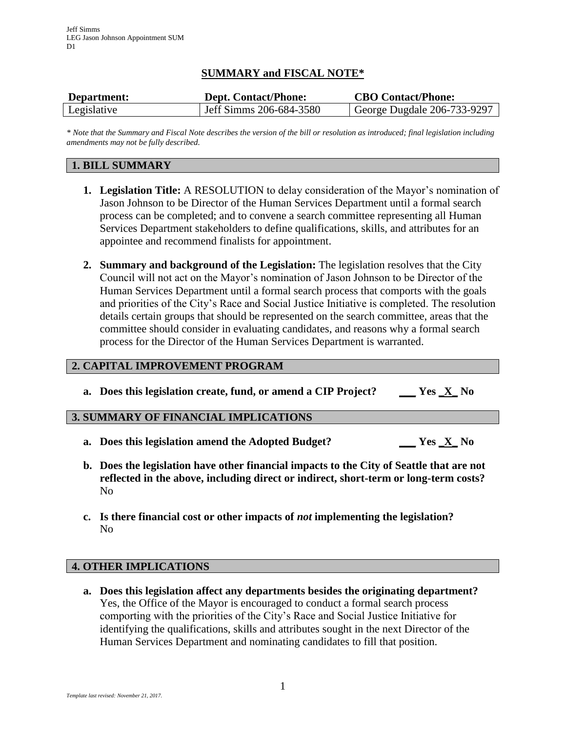# **SUMMARY and FISCAL NOTE\***

| Department: | <b>Dept. Contact/Phone:</b> | <b>CBO Contact/Phone:</b>   |
|-------------|-----------------------------|-----------------------------|
| Legislative | Jeff Simms 206-684-3580     | George Dugdale 206-733-9297 |

*\* Note that the Summary and Fiscal Note describes the version of the bill or resolution as introduced; final legislation including amendments may not be fully described.*

## **1. BILL SUMMARY**

- **1. Legislation Title:** A RESOLUTION to delay consideration of the Mayor's nomination of Jason Johnson to be Director of the Human Services Department until a formal search process can be completed; and to convene a search committee representing all Human Services Department stakeholders to define qualifications, skills, and attributes for an appointee and recommend finalists for appointment.
- **2. Summary and background of the Legislation:** The legislation resolves that the City Council will not act on the Mayor's nomination of Jason Johnson to be Director of the Human Services Department until a formal search process that comports with the goals and priorities of the City's Race and Social Justice Initiative is completed. The resolution details certain groups that should be represented on the search committee, areas that the committee should consider in evaluating candidates, and reasons why a formal search process for the Director of the Human Services Department is warranted.

## **2. CAPITAL IMPROVEMENT PROGRAM**

**a. Does this legislation create, fund, or amend a CIP Project? \_\_\_ Yes \_X\_ No**

#### **3. SUMMARY OF FINANCIAL IMPLICATIONS**

- **a. Does this legislation amend the Adopted Budget? \_\_\_ Yes \_X\_ No**
- **b. Does the legislation have other financial impacts to the City of Seattle that are not reflected in the above, including direct or indirect, short-term or long-term costs?** No
- **c. Is there financial cost or other impacts of** *not* **implementing the legislation?** No

#### **4. OTHER IMPLICATIONS**

**a. Does this legislation affect any departments besides the originating department?** Yes, the Office of the Mayor is encouraged to conduct a formal search process comporting with the priorities of the City's Race and Social Justice Initiative for identifying the qualifications, skills and attributes sought in the next Director of the Human Services Department and nominating candidates to fill that position.